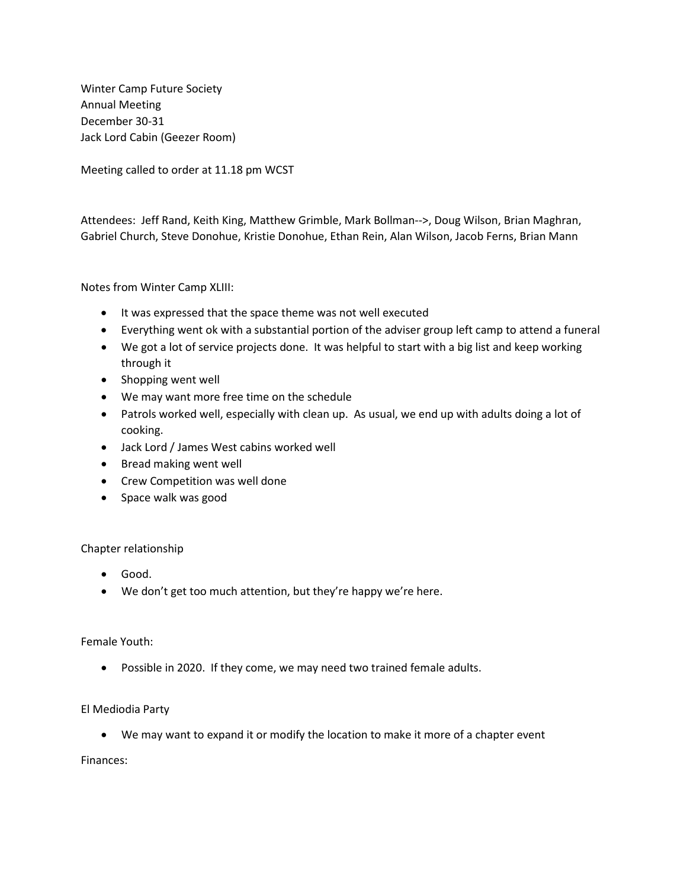Winter Camp Future Society Annual Meeting December 30-31 Jack Lord Cabin (Geezer Room)

Meeting called to order at 11.18 pm WCST

Attendees: Jeff Rand, Keith King, Matthew Grimble, Mark Bollman-->, Doug Wilson, Brian Maghran, Gabriel Church, Steve Donohue, Kristie Donohue, Ethan Rein, Alan Wilson, Jacob Ferns, Brian Mann

Notes from Winter Camp XLIII:

- It was expressed that the space theme was not well executed
- Everything went ok with a substantial portion of the adviser group left camp to attend a funeral
- We got a lot of service projects done. It was helpful to start with a big list and keep working through it
- Shopping went well
- We may want more free time on the schedule
- Patrols worked well, especially with clean up. As usual, we end up with adults doing a lot of cooking.
- Jack Lord / James West cabins worked well
- Bread making went well
- Crew Competition was well done
- Space walk was good

## Chapter relationship

- Good.
- We don't get too much attention, but they're happy we're here.

### Female Youth:

• Possible in 2020. If they come, we may need two trained female adults.

## El Mediodia Party

• We may want to expand it or modify the location to make it more of a chapter event

Finances: